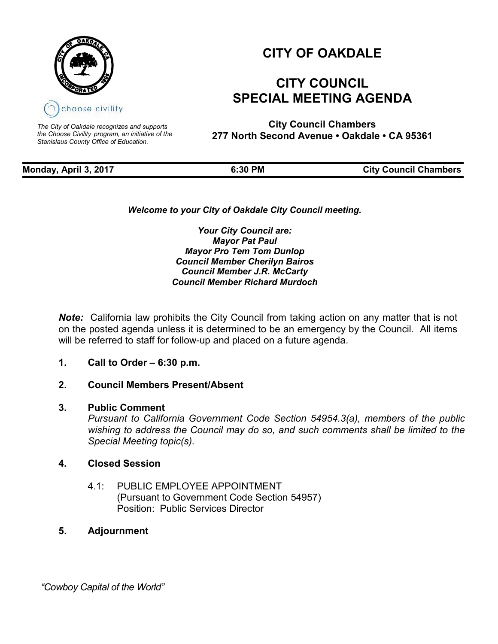

*The City of Oakdale recognizes and supports the Choose Civility program, an initiative of the Stanislaus County Office of Education.*

# **CITY OF OAKDALE**

## **CITY COUNCIL SPECIAL MEETING AGENDA**

**City Council Chambers 277 North Second Avenue • Oakdale • CA 95361**

**Monday, April 3, 2017 6:30 PM City Council Chambers** 

*Welcome to your City of Oakdale City Council meeting.*

*Your City Council are: Mayor Pat Paul Mayor Pro Tem Tom Dunlop Council Member Cherilyn Bairos Council Member J.R. McCarty Council Member Richard Murdoch*

*Note:* California law prohibits the City Council from taking action on any matter that is not on the posted agenda unless it is determined to be an emergency by the Council. All items will be referred to staff for follow-up and placed on a future agenda.

#### **1. Call to Order – 6:30 p.m.**

### **2. Council Members Present/Absent**

#### **3. Public Comment**

*Pursuant to California Government Code Section 54954.3(a), members of the public wishing to address the Council may do so, and such comments shall be limited to the Special Meeting topic(s).*

#### **4. Closed Session**

4.1: PUBLIC EMPLOYEE APPOINTMENT (Pursuant to Government Code Section 54957) Position: Public Services Director

### **5. Adjournment**

 *"Cowboy Capital of the World"*